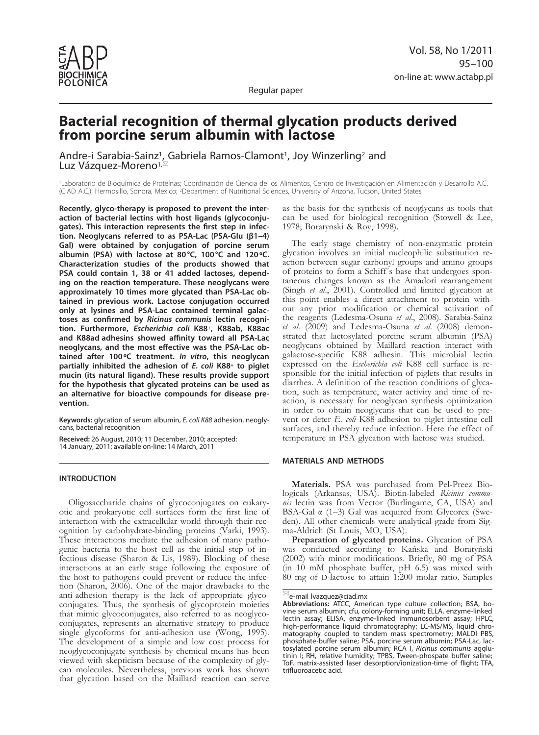

Regular paper

# **Bacterial recognition of thermal glycation products derived from porcine serum albumin with lactose**

Andre-i Sarabia-Sainz<sup>1</sup>, Gabriela Ramos-Clamont<sup>1</sup>, Joy Winzerling<sup>2</sup> and Luz Vázquez-Moreno<sup>1,⊠</sup>

1Laboratorio de Bioquímica de Proteínas; Coordinación de Ciencia de los Alimentos, Centro de Investigación en Alimentación y Desarrollo A.C. (CIAD A.C.), Hermosillo, Sonora, Mexico; 2Department of Nutritional Sciences, University of Arizona, Tucson, United States

**Recently, glyco-therapy is proposed to prevent the interaction of bacterial lectins with host ligands (glycoconjugates). This interaction represents the first step in infection. Neoglycans referred to as PSA-Lac (PSA-Glu (β1–4) Gal) were obtained by conjugation of porcine serum albumin (PSA) with lactose at 80°C, 100°C and 120ºC. Characterization studies of the products showed that PSA could contain 1, 38 or 41 added lactoses, depending on the reaction temperature. These neoglycans were approximately 10 times more glycated than PSA-Lac obtained in previous work. Lactose conjugation occurred only at lysines and PSA-Lac contained terminal galactoses as confirmed by** *Ricinus communis* **lectin recognition. Furthermore,** *Escherichia coli* **K88+, K88ab, K88ac and K88ad adhesins showed affinity toward all PSA-Lac neoglycans, and the most effective was the PSA-Lac obtained after 100ºC treatment.** *In vitro***, this neoglycan partially inhibited the adhesion of** *E. coli* **K88+ to piglet mucin (its natural ligand). These results provide support for the hypothesis that glycated proteins can be used as an alternative for bioactive compounds for disease prevention.** 

**Keywords:** glycation of serum albumin, *E. coli K88* adhesion, neoglycans, bacterial recognition

**Received:** 26 August, 2010; 11 December, 2010; accepted: 14 January, 2011; available on-line: 14 March, 2011

## **INTRODUCTION**

Oligosaccharide chains of glycoconjugates on eukaryotic and prokaryotic cell surfaces form the first line of interaction with the extracellular world through their recognition by carbohydrate-binding proteins (Varki, 1993). These interactions mediate the adhesion of many pathogenic bacteria to the host cell as the initial step of infectious disease (Sharon & Lis, 1989). Blocking of these interactions at an early stage following the exposure of the host to pathogens could prevent or reduce the infection (Sharon, 2006). One of the major drawbacks to the anti-adhesion therapy is the lack of appropriate glycoconjugates. Thus, the synthesis of glycoprotein moieties that mimic glycoconjugates, also referred to as neoglycoconjugates, represents an alternative strategy to produce single glycoforms for anti-adhesion use (Wong, 1995). The development of a simple and low cost process for neoglycoconjugate synthesis by chemical means has been viewed with skepticism because of the complexity of glycan molecules. Nevertheless, previous work has shown that glycation based on the Maillard reaction can serve

as the basis for the synthesis of neoglycans as tools that can be used for biological recognition (Stowell & Lee, 1978; Boratynski & Roy, 1998).

The early stage chemistry of non-enzymatic protein glycation involves an initial nucleophilic substitution reaction between sugar carbonyl groups and amino groups of proteins to form a Schiff´s base that undergoes spontaneous changes known as the Amadori rearrangement (Singh *et al*., 2001). Controlled and limited glycation at this point enables a direct attachment to protein without any prior modification or chemical activation of the reagents (Ledesma-Osuna *et al*., 2008). Sarabia-Sainz *et al*. (2009) and Ledesma-Osuna *et al*. (2008) demonstrated that lactosylated porcine serum albumin (PSA) neoglycans obtained by Maillard reaction interact with galactose-specific K88 adhesin. This microbial lectin expressed on the *Escherichia coli* K88 cell surface is responsible for the initial infection of piglets that results in diarrhea. A definition of the reaction conditions of glycation, such as temperature, water activity and time of reaction, is necessary for neoglycan synthesis optimization in order to obtain neoglycans that can be used to prevent or deter *E. coli* K88 adhesion to piglet intestine cell surfaces, and thereby reduce infection. Here the effect of temperature in PSA glycation with lactose was studied.

## **MATERIALS AND METHODS**

**Materials.** PSA was purchased from Pel-Preez Biologicals (Arkansas, USA). Biotin-labeled *Ricinus communis* lectin was from Vector (Burlingame, CA, USA) and BSA-Gal α (1–3) Gal was acquired from Glycorex (Sweden). All other chemicals were analytical grade from Sigma-Aldrich (St Louis, MO, USA).

Preparation of glycated proteins. Glycation of PSA was conducted according to Kańska and Boratyński (2002) with minor modifications. Briefly, 80 mg of PSA (in 10 mM phosphate buffer, pH 6.5) was mixed with 80 mg of D-lactose to attain 1:200 molar ratio. Samples

 $\mathbb{Z}_e$ -mail lvazquez@ciad.mx

**Abbreviations:** ATCC, American type culture collection; BSA, bovine serum albumin; cfu, colony-forming unit; ELLA, enzyme-linked lectin assay; ELISA, enzyme-linked immunosorbent assay; HPLC, high-performance liquid chromatography; LC-MS/MS, liquid chromatography coupled to tandem mass spectrometry; MALDI PBS, phosphate-buffer saline; PSA, porcine serum albumin; PSA-Lac, lactosylated porcine serum albumin; RCA I, *Ricinus communis* agglutinin I; RH, relative humidity; TPBS, Tween-phospate buffer saline; ToF, matrix-assisted laser desorption/ionization-time of flight; TFA, trifluoroacetic acid.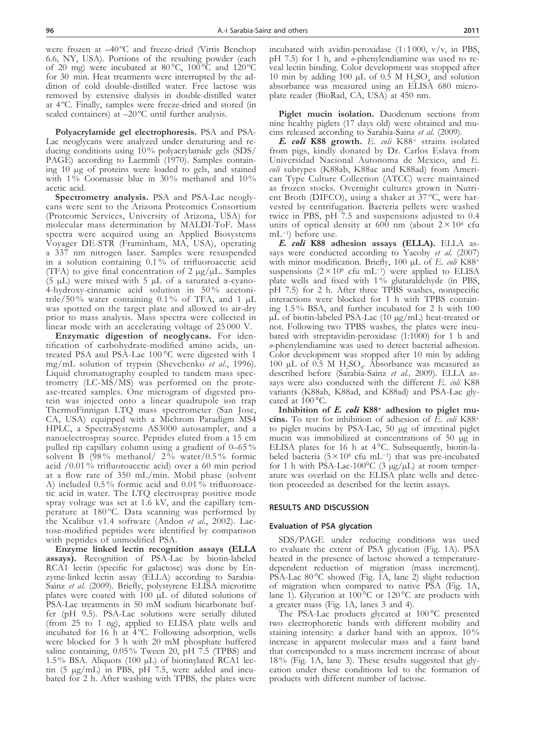were frozen at  $-40^{\circ}$ C and freeze-dried (Virtis Benchop 6.6, NY, USA). Portions of the resulting powder (each of 20 mg) were incubated at  $80^{\circ}$ C,  $100^{\circ}$ C and  $120^{\circ}$ C for 30 min. Heat treatments were interrupted by the addition of cold double-distilled water. Free lactose was removed by extensive dialysis in double-distilled water at 4 ºC. Finally, samples were freeze-dried and stored (in sealed containers) at -20°C until further analysis.

**Polyacrylamide gel electrophoresis.** PSA and PSA-Lac neoglycans were analyzed under denaturing and reducing conditions using 10% polyacrylamide gels (SDS/ PAGE) according to Laemmli (1970). Samples containing 10 µg of proteins were loaded to gels, and stained with 1% Coomassie blue in 30% methanol and 10% acetic acid.

**Spectrometry analysis.** PSA and PSA-Lac neoglycans were sent to the Arizona Proteomics Consortium (Proteomic Services, University of Arizona, USA) for molecular mass determination by MALDI-ToF. Mass spectra were acquired using an Applied Biosystems Voyager DE-STR (Framinham, MA, USA), operating a 337 nm nitrogen laser. Samples were resuspended in a solution containing 0.1 % of trifluoroacetic acid (TFA) to give final concentration of  $2 \mu g / \mu L$ . Samples (5 µL) were mixed with 5 µL of a saturated α-cyano-4-hydroxy-cinnamic acid solution in 50 % acetonitrile/50% water containing 0.1% of TFA, and 1  $\mu$ L was spotted on the target plate and allowed to air-dry prior to mass analysis. Mass spectra were collected in linear mode with an accelerating voltage of 25 000 V.

**Enzymatic digestion of neoglycans.** For identification of carbohydrate-modified amino acids, untreated PSA and PSA-Lac 100 °C were digested with 1 mg/mL solution of trypsin (Shevchenko *et al*., 1996). Liquid chromatography coupled to tandem mass spectrometry (LC-MS/MS) was performed on the protease-treated samples. One microgram of digested protein was injected onto a linear quadrupole ion trap ThermoFinnigan LTQ mass spectrometer (San Jose, CA, USA) equipped with a Michrom Paradigm MS4 HPLC, a SpectraSystems AS3000 autosampler, and a nanoelectrospray source. Peptides eluted from a 15 cm pulled tip capillary column using a gradient of 0–65 % solvent B  $(\overline{98\%})$  methanol/  $2\%$  water/0.5% formic acid /0.01 % trifluoroacetic acid) over a 60 min period at a flow rate of 350 mL/min. Mobil phase (solvent A) included 0.5 % formic acid and 0.01 % trifluoroacetic acid in water. The LTQ electrospray positive mode spray voltage was set at 1.6 kV, and the capillary temperature at 180 °C. Data scanning was performed by the Xcalibur v1.4 software (Andon *et al*., 2002). Lactose-modified peptides were identified by comparison with peptides of unmodified PSA.

**Enzyme linked lectin recognition assays (ELLA assays).** Recognition of PSA-Lac by biotin-labeled RCA1 lectin (specific for galactose) was done by Enzyme-linked lectin assay (ELLA) according to Sarabia-Sainz *et al*. (2009). Briefly, polystyrene ELISA microtitre plates were coated with 100 µL of diluted solutions of PSA-Lac treatments in 50 mM sodium bicarbonate buffer (pH 9.5). PSA-Lac solutions were serially diluted (from 25 to 1 ng), applied to ELISA plate wells and incubated for 16 h at 4°C. Following adsorption, wells were blocked for 3 h with 20 mM phosphate buffered saline containing, 0.05% Tween 20, pH 7.5 (TPBS) and 1.5% BSA. Aliquots (100 µL) of biotinylated RCA1 lectin (5 µg/mL) in PBS, pH 7.5, were added and incubated for 2 h. After washing with TPBS, the plates were incubated with avidin-peroxidase  $(1:1000, v/v, in PBS,$ pH 7.5) for 1 h, and *o*-phenylendiamine was used to reveal lectin binding. Color development was stopped after 10 min by adding 100  $\mu$ L of 0.5 M H<sub>2</sub>SO<sub>4</sub> and solution absorbance was measured using an ELISA 680 microplate reader (BioRad, CA, USA) at 450 nm.

**Piglet mucin isolation.** Duodenum sections from nine healthy piglets (17 days old) were obtained and mucins released according to Sarabia-Sainz *et al.* (2009).

*E. coli* **K88 growth.** *E. coli* K88+ strains isolated from pigs, kindly donated by Dr. Carlos Eslava from Universidad Nacional Autonoma de Mexico, and *E. coli* subtypes (K88ab, K88ac and K88ad) from American Type Culture Collection (ATCC) were maintained as frozen stocks. Overnight cultures grown in Nutrient Broth (DIFCO), using a shaker at 37 ºC, were harvested by centrifugation. Bacteria pellets were washed twice in PBS, pH 7.5 and suspensions adjusted to 0.4 units of optical density at  $600$  nm (about  $2 \times 10^8$  cfu

mL<sup>-1</sup>) before use.<br> **E. coli K88 adhesion assays (ELLA).** ELLA assays were conducted according to Yacoby *et al.* (2007) with minor modification. Briefly, 100 µL of *E. coli* K88<sup>+</sup> suspensions  $(2 \times 10^8 \text{ cfu mL}^{-1})$  were applied to ELISA plate wells and fixed with 1% glutaraldehyde (in PBS, pH 7.5) for 2 h. After three TPBS washes, nonspecific ing  $1.5\%$  BSA, and further incubated for 2 h with 100  $\mu$ L of biotin-labeled PSA-Lac (10  $\mu$ g/mL) heat-treated or not. Following two TPBS washes, the plates were incubated with streptavidin-peroxidase (1:1000) for 1 h and *o*-phenylendiamine was used to detect bacterial adhesion. Color development was stopped after 10 min by adding 100 µL of  $0.5$  M H<sub>2</sub>SO<sub>4</sub>. Absorbance was measured as described before (Sarabia-Sainz *et al.,* 2009). ELLA assays were also conducted with the different *E. coli* K88 variants (K88ab, K88ad, and K88ad) and PSA-Lac glycated at 100 °C.

**Inhibition of** *E. coli* **K88+ adhesion to piglet mucins.** To test for inhibition of adhesion of *E. coli* K88+ to piglet mucins by PSA-Lac, 50 µg of intestinal piglet mucin was immobilized at concentrations of 50 µg in ELISA plates for 16 h at 4°C. Subsequently, biotin-labeled bacteria ( $5 \times 10^8$  cfu mL<sup>-1</sup>) that was pre-incubated for 1 h with PSA-Lac-100 $^{\circ}$ C (3 µg/µL) at room temperature was overlaid on the ELISA plate wells and detection proceeded as described for the lectin assays.

#### **RESULTS AND DISCUSSION**

#### **Evaluation of PSA glycation**

SDS/PAGE under reducing conditions was used to evaluate the extent of PSA glycation (Fig. 1A). PSA heated in the presence of lactose showed a temperaturedependent reduction of migration (mass increment). PSA-Lac 80 °C showed (Fig. 1A, lane 2) slight reduction of migration when compared to native PSA (Fig. 1A, lane 1). Glycation at  $100^{\circ}$ C or  $120^{\circ}$ C are products with a greater mass (Fig. 1A, lanes 3 and 4).

The PSA-Lac products glycated at 100 °C presented two electrophoretic bands with different mobility and staining intensity: a darker band with an approx. 10% increase in apparent molecular mass and a faint band that corresponded to a mass increment increase of about 18% (Fig. 1A, lane 3). These results suggested that glycation under these conditions led to the formation of products with different number of lactose.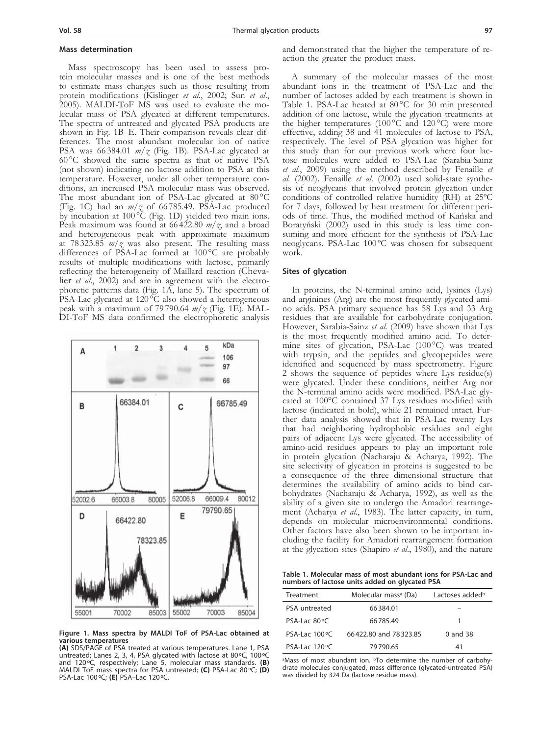#### **Mass determination**

Mass spectroscopy has been used to assess protein molecular masses and is one of the best methods to estimate mass changes such as those resulting from protein modifications (Kislinger *et al*., 2002; Sun *et al*., 2005). MALDI-ToF MS was used to evaluate the molecular mass of PSA glycated at different temperatures. The spectra of untreated and glycated PSA products are shown in Fig. 1B–E. Their comparison reveals clear differences. The most abundant molecular ion of native PSA was 66 384.01 *m/z* (Fig. 1B). PSA-Lac glycated at 60 °C showed the same spectra as that of native PSA (not shown) indicating no lactose addition to PSA at this temperature. However, under all other temperature conditions, an increased PSA molecular mass was observed. The most abundant ion of PSA-Lac glycated at  $80^{\circ}$ C (Fig. 1C) had an  $m/\zeta$  of 66785.49. PSA-Lac produced by incubation at 100 °C (Fig. 1D) yielded two main ions. Peak maximum was found at 66 422.80 *m/z*, and a broad and heterogeneous peak with approximate maximum at 78 323.85 *m/z* was also present. The resulting mass differences of PSA-Lac formed at 100 °C are probably results of multiple modifications with lactose, primarily reflecting the heterogeneity of Maillard reaction (Cheva-<br>lier *et al.*, 2002) and are in agreement with the electro-<br>phoretic patterns data (Fig. 1A, lane 5). The spectrum of PSA-Lac glycated at  $120\text{°C}$  also showed a heterogeneous peak with a maximum of 79 790.64 *m/z* (Fig. 1E). MAL- DI-ToF MS data confirmed the electrophoretic analysis



**Figure 1. Mass spectra by MALDI ToF of PSA-Lac obtained at various temperatures**

**(A)** SDS/PAGE of PSA treated at various temperatures. Lane 1, PSA untreated; Lanes 2, 3, 4, PSA glycated with lactose at 80ºC, 100ºC and 120ºC, respectively; Lane 5, molecular mass standards. **(B)**  MALDI ToF mass spectra for PSA untreated; **(C)** PSA-Lac 80ºC; **(D)**  PSA-Lac 100ºC; **(E)** PSA–Lac 120ºC.

and demonstrated that the higher the temperature of reaction the greater the product mass.

A summary of the molecular masses of the most abundant ions in the treatment of PSA-Lac and the number of lactoses added by each treatment is shown in Table 1. PSA-Lac heated at 80 °C for 30 min presented addition of one lactose, while the glycation treatments at the higher temperatures (100 $\degree$ C and 120 $\degree$ C) were more effective, adding 38 and 41 molecules of lactose to PSA, respectively. The level of PSA glycation was higher for this study than for our previous work where four lac- tose molecules were added to PSA-Lac (Sarabia-Sainz *et al*., 2009) using the method described by Fenaille *et al.* (2002). Fenaille *et al*. (2002) used solid-state synthe- sis of neoglycans that involved protein glycation under conditions of controlled relative humidity (RH) at 25ºC for 7 days, followed by heat treatment for different peri- ods of time. Thus, the modified method of Kańska and suming and more efficient for the synthesis of PSA-Lac neoglycans. PSA-Lac 100 ºC was chosen for subsequent work.

#### **Sites of glycation**

In proteins, the N-terminal amino acid, lysines (Lys) and arginines (Arg) are the most frequently glycated ami- no acids. PSA primary sequence has 58 Lys and 33 Arg residues that are available for carbohydrate conjugation. However, Sarabia-Sainz *et al.* (2009) have shown that Lys is the most frequently modified amino acid. To determine sites of glycation, PSA-Lac (100 °C) was treated with trypsin, and the peptides and glycopeptides were identified and sequenced by mass spectrometry. Figure 2 shows the sequence of peptides where Lys residue(s) were glycated. Under these conditions, neither Arg nor the N-terminal amino acids were modified. PSA-Lac glycated at 100°C contained 37 Lys residues modified with lactose (indicated in bold), while 21 remained intact. Further data analysis showed that in PSA-Lac twenty Lys that had neighboring hydrophobic residues and eight pairs of adjacent Lys were glycated. The accessibility of amino-acid residues appears to play an important role in protein glycation (Nacharaju & Acharya, 1992). The site selectivity of glycation in proteins is suggested to be a consequence of the three dimensional structure that determines the availability of amino acids to bind carbohydrates (Nacharaju & Acharya, 1992), as well as the ability of a given site to undergo the Amadori rearrangement (Acharya *et al*., 1983). The latter capacity, in turn, depends on molecular microenvironmental conditions. Other factors have also been shown to be important including the facility for Amadori rearrangement formation at the glycation sites (Shapiro *et al*., 1980), and the nature

**Table 1. Molecular mass of most abundant ions for PSA-Lac and numbers of lactose units added on glycated PSA**

| Treatment               | Molecular mass <sup>a</sup> (Da) | Lactoses added <sup>b</sup> |  |  |  |  |  |  |  |  |
|-------------------------|----------------------------------|-----------------------------|--|--|--|--|--|--|--|--|
| PSA untreated           | 66384.01                         |                             |  |  |  |  |  |  |  |  |
| PSA-Lac 80 °C           | 66785.49                         |                             |  |  |  |  |  |  |  |  |
| PSA-Lac $100^{\circ}$ C | 66422.80 and 78323.85            | $0$ and $38$                |  |  |  |  |  |  |  |  |
| PSA-Lac $120^{\circ}$ C | 79790.65                         | 41                          |  |  |  |  |  |  |  |  |

aMass of most abundant ion. **bTo determine the number of carbohy**drate molecules conjugated, mass difference (glycated-untreated PSA) was divided by 324 Da (lactose residue mass).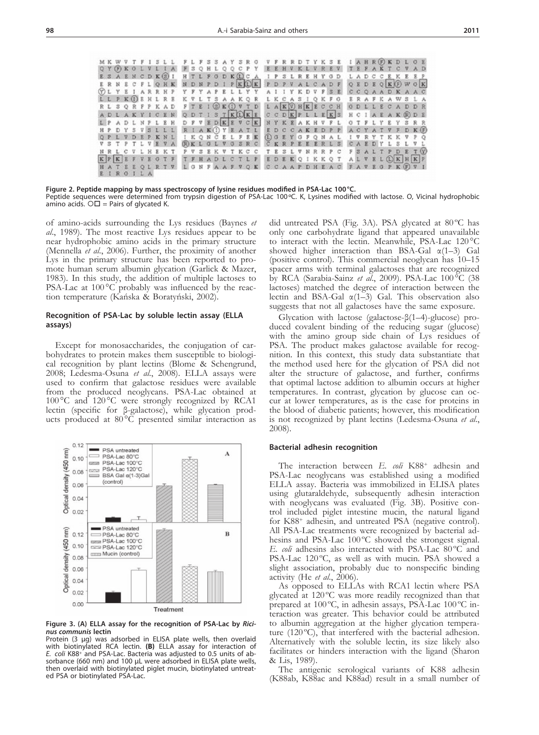|  |         |  |  |  |  |  |  |  |  | MKWVTFISLL FLFSSAYSRO VFRRDTYKSE IAHROKDLOE                                      |  |  |  |  |  |  |  |  |  |  |
|--|---------|--|--|--|--|--|--|--|--|----------------------------------------------------------------------------------|--|--|--|--|--|--|--|--|--|--|
|  |         |  |  |  |  |  |  |  |  | QY(F) KOLVLIA FSQHLQQCPY EEHVKLVREV TEFAKTCVAD                                   |  |  |  |  |  |  |  |  |  |  |
|  |         |  |  |  |  |  |  |  |  | ESAENCDK GI HTLFGDK COA IPSLREHYGD LADCCEKEEP                                    |  |  |  |  |  |  |  |  |  |  |
|  |         |  |  |  |  |  |  |  |  | ERNECPLOHK NDNPDIPKD K PDPVALCADF QEDEQ KOWOK                                    |  |  |  |  |  |  |  |  |  |  |
|  |         |  |  |  |  |  |  |  |  | <b>TLYEIARRHP YFYAPELLYY AIIYKDVFBE CCOAADKAAC</b>                               |  |  |  |  |  |  |  |  |  |  |
|  |         |  |  |  |  |  |  |  |  | L L P K (D E H L R E K V L T S A A K Q R L K C A S I Q K F G E R A F K A W S L A |  |  |  |  |  |  |  |  |  |  |
|  |         |  |  |  |  |  |  |  |  | RL SQRFPKAD FTEI GEOVTD LAKOHKECCH ODLLECADDR                                    |  |  |  |  |  |  |  |  |  |  |
|  |         |  |  |  |  |  |  |  |  | ADLAKYICEN QDTISTKOKE CCDKPLLEKS HCIAEAK®DE                                      |  |  |  |  |  |  |  |  |  |  |
|  |         |  |  |  |  |  |  |  |  | L P A D L N P L E H D F V E D K E V C K N Y K E A K H V F L O T F L Y E Y S R R  |  |  |  |  |  |  |  |  |  |  |
|  |         |  |  |  |  |  |  |  |  | HPDYSVSLLL RIAK OYEATL EDCCAKEDPP ACYATVFDK (F)                                  |  |  |  |  |  |  |  |  |  |  |
|  |         |  |  |  |  |  |  |  |  | QPLVDEPKNL IKQNČELFEK (DOEYOFQNAL IVRYTKKVPQ                                     |  |  |  |  |  |  |  |  |  |  |
|  |         |  |  |  |  |  |  |  |  | VSTPTLVEVA RKLGLVGSRC CKRPEEERLS CAEDYLSLVL                                      |  |  |  |  |  |  |  |  |  |  |
|  |         |  |  |  |  |  |  |  |  | NRL C V L H E K T P V S E K V T K C C T E S L V N R R P C F S A L T P D E T (V)  |  |  |  |  |  |  |  |  |  |  |
|  |         |  |  |  |  |  |  |  |  | KPKEFVEGTF TFHADLCTLP EDEKOIKKOT ALVELOKHKP                                      |  |  |  |  |  |  |  |  |  |  |
|  |         |  |  |  |  |  |  |  |  | HATEEQLRTV LONFAAFVQK CCAAPDHEAC FAVEOPK(F)VI                                    |  |  |  |  |  |  |  |  |  |  |
|  | EIRGILA |  |  |  |  |  |  |  |  |                                                                                  |  |  |  |  |  |  |  |  |  |  |

**Figure 2. Peptide mapping by mass spectroscopy of lysine residues modified in PSA-Lac 100°C.** Peptide sequences were determined from trypsin digestion of PSA-Lac 100ºC. K, Lysines modified with lactose. Ο, Vicinal hydrophobic amino acids.  $\circ$  = Pairs of glycated K.

of amino-acids surrounding the Lys residues (Baynes *et al*., 1989). The most reactive Lys residues appear to be near hydrophobic amino acids in the primary structure (Mennella *et al*., 2006). Further, the proximity of another Lys in the primary structure has been reported to promote human serum albumin glycation (Garlick & Mazer, 1983). In this study, the addition of multiple lactoses to PSA-Lac at 100 °C probably was influenced by the reaction temperature (Kańska & Boratyński, 2002).

#### **Recognition of PSA-Lac by soluble lectin assay (ELLA assays)**

Except for monosaccharides, the conjugation of car-<br>bohydrates to protein makes them susceptible to biological recognition by plant lectins (Blome & Schengrund, 2008; Ledesma-Osuna *et al*., 2008). ELLA assays were used to confirm that galactose residues were available from the produced neoglycans. PSA-Lac obtained at 100 °C and 120 °C were strongly recognized by RCA1 lectin (specific for  $\beta$ -galactose), while glycation products produced at 80°<sup>°</sup>C presented similar interaction as



**Figure 3. (A) ELLA assay for the recognition of PSA-Lac by** *Ricinus communis* **lectin**

Protein (3 µg) was adsorbed in ELISA plate wells, then overlaid with biotinylated RCA lectin. **(B)** ELLA assay for interaction of *E. coli* K88+ and PSA-Lac. Bacteria was adjusted to 0.5 units of absorbance (660 nm) and 100 µL were adsorbed in ELISA plate wells, then overlaid with biotinylated piglet mucin, biotinylated untreated PSA or biotinylated PSA-Lac.

did untreated PSA (Fig. 3A). PSA glycated at 80 ºC has only one carbohydrate ligand that appeared unavailable to interact with the lectin. Meanwhile, PSA-Lac 120 °C showed higher interaction than BSA-Gal  $\alpha(1-3)$  Gal (positive control). This commercial neoglycan has 10–15 spacer arms with terminal galactoses that are recognized by RCA (Sarabia-Sainz *et al*., 2009). PSA-Lac 100 °C (38 lactoses) matched the degree of interaction between the lectin and BSA-Gal  $\alpha(1-3)$  Gal. This observation also suggests that not all galactoses have the same exposure.

Glycation with lactose (galactose-β(1–4)-glucose) produced covalent binding of the reducing sugar (glucose) with the amino group side chain of Lys residues of PSA. The product makes galactose available for recognition. In this context, this study data substantiate that the method used here for the glycation of PSA did not alter the structure of galactose, and further, confirms that optimal lactose addition to albumin occurs at higher cur at lower temperatures, as is the case for proteins in the blood of diabetic patients; however, this modification is not recognized by plant lectins (Ledesma-Osuna *et al*., 2008).

#### **Bacterial adhesin recognition**

The interaction between *E. coli* K88+ adhesin and PSA-Lac neoglycans was established using a modified ELLA assay. Bacteria was immobilized in ELISA plates using glutaraldehyde, subsequently adhesin interaction with neoglycans was evaluated (Fig. 3B). Positive control included piglet intestine mucin, the natural ligand for K88+ adhesin, and untreated PSA (negative control). All PSA-Lac treatments were recognized by bacterial adhesins and PSA-Lac 100 °C showed the strongest signal. *E. coli* adhesins also interacted with PSA-Lac 80 °C and PSA-Lac 120 °C, as well as with mucin. PSA showed a slight association, probably due to nonspecific binding activity (He *et al*., 2006).

As opposed to ELLAs with RCA1 lectin where PSA glycated at 120 °C was more readily recognized than that prepared at 100 °C, in adhesin assays, PSA-Lac 100 °C interaction was greater. This behavior could be attributed to albumin aggregation at the higher glycation temperature (120 $^{\circ}$ C), that interfered with the bacterial adhesion. Alternatively with the soluble lectin, its size likely also facilitates or hinders interaction with the ligand (Sharon & Lis, 1989).

The antigenic serological variants of K88 adhesin (K88ab, K88ac and K88ad) result in a small number of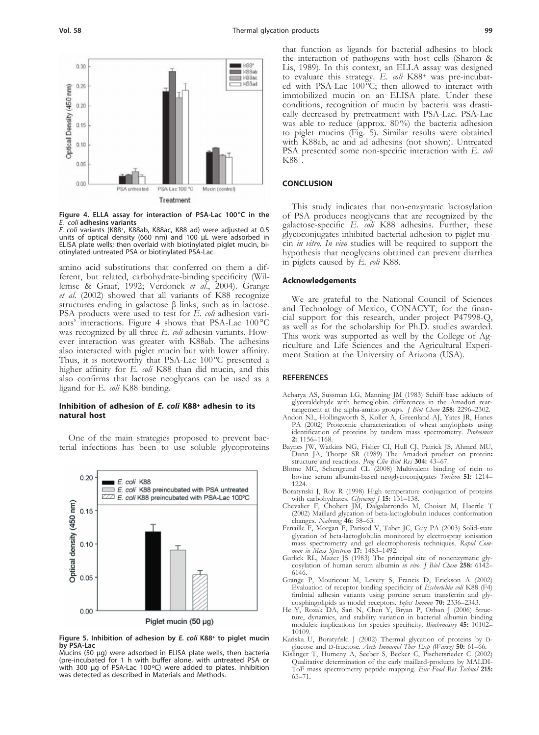

**Figure 4. ELLA assay for interaction of PSA-Lac 100°C in the**  *E. coli* **adhesins variants**

*E. coli* variants (K88+, K88ab, K88ac, K88 ad) were adjusted at 0.5 units of optical density (660 nm) and 100 µL were adsorbed in ELISA plate wells; then overlaid with biotinylated piglet mucin, biotinylated untreated PSA or biotinylated PSA-Lac.

amino acid substitutions that conferred on them a different, but related, carbohydrate-binding specificity (Willemse & Graaf, 1992; Verdonck *et al*., 2004). Grange *et al*. (2002) showed that all variants of K88 recognize structures ending in galactose β links, such as in lactose. PSA products were used to test for *E. coli* adhesion variants' interactions. Figure 4 shows that PSA-Lac 100 °C was recognized by all three *E. coli* adhesin variants. However interaction was greater with K88ab. The adhesins also interacted with piglet mucin but with lower affinity. Thus, it is noteworthy that PSA-Lac 100°C presented a higher affinity for *E. coli* K88 than did mucin, and this also confirms that lactose neoglycans can be used as a ligand for E*. coli* K88 binding.

## **Inhibition of adhesion of** *E. coli* **K88+ adhesin to its natural host**

One of the main strategies proposed to prevent bacterial infections has been to use soluble glycoproteins



**Figure 5. Inhibition of adhesion by** *E. coli* **K88+ to piglet mucin by PSA-Lac**

Mucins (50 µg) were adsorbed in ELISA plate wells, then bacteria (pre-incubated for 1 h with buffer alone, with untreated PSA or with 300 µg of PSA-Lac 100°C) were added to plates. Inhibition was detected as described in Materials and Methods.

that function as ligands for bacterial adhesins to block the interaction of pathogens with host cells (Sharon & Lis, 1989). In this context, an ELLA assay was designed to evaluate this strategy. *E. coli* K88<sup>+</sup> was pre-incubat-<br>ed with PSA-Lac 100 °C; then allowed to interact with immobilized mucin on an ELISA plate. Under these conditions, recognition of mucin by bacteria was drastically decreased by pretreatment with PSA-Lac. PSA-Lac was able to reduce (approx. 80%) the bacteria adhesion to piglet mucins (Fig. 5). Similar results were obtained with K88ab, ac and ad adhesins (not shown). Untreated PSA presented some non-specific interaction with *E. coli* K88+.

### **CONCLUSION**

This study indicates that non-enzymatic lactosylation of PSA produces neoglycans that are recognized by the galactose-specific *E. coli* K88 adhesins. Further, these glycoconjugates inhibited bacterial adhesion to piglet mucin *in vitro*. *In vivo* studies will be required to support the hypothesis that neoglycans obtained can prevent diarrhea in piglets caused by *E. coli* K88.

#### **Acknowledgements**

We are grateful to the National Council of Sciences and Technology of Mexico, CONACYT, for the financial support for this research, under project P47998-Q, as well as for the scholarship for Ph.D. studies awarded. This work was supported as well by the College of Agriculture and Life Sciences and the Agricultural Experiment Station at the University of Arizona (USA).

#### **REFERENCES**

- Acharya AS, Sussman LG, Manning JM (1983) Schiff base adducts of glyceraldehyde with hemoglobin. differences in the Amadori rearrangement at the alpha-amino groups. *J Biol Chem* **258:** 2296–2302.
- Andon NL, Hollingworth S, Koller A, Greenland AJ, Yates JR, Hanes PA (2002) Proteomic characterization of wheat amyloplasts using identification of proteins by tandem mass spectrometry. *Proteomics* **2:** 1156–1168.
- Baynes JW, Watkins NG, Fisher CI, Hull CJ, Patrick JS, Ahmed MU, Dunn JA, Thorpe SR (1989) The Amadori product on protein**:**
- structure and reactions. *Prog Clin Biol Res* **304:** 43–67. Blome MC, Schengrund CL (2008) Multivalent binding of ricin to bovine serum albumin-based neoglycoconjugates *Toxicon* **51:** 1214– 1224.
- Boratynski J, Roy R (1998) High temperature conjugation of proteins with carbohydrates. *Glycoconj J* **15:** 131–138.
- Chevalier F, Chobert JM, Dalgalarrondo M, Choiset M, Haertle T (2002) Maillard glycation of beta-lactoglobulin induces conformation changes. *Nahrung* **46:** 58–63.
- Fenaille F, Morgan F, Parisod V, Tabet JC, Guy PA (2003) Solid-state glycation of beta-lactoglobulin monitored by electrospray ionisation mass spectrometry and gel electrophoresis techniques. *Rapid Commun in Mass Spectrom* **17:** 1483–1492.
- Garlick RL, Mazer JS (1983) The principal site of nonenzymatic glycosylation of human serum albumin *in vivo*. *J Biol Chem* **258:** 6142– 6146.
- Grange P, Mouricout M, Levery S, Francis D, Erickson A (2002) Evaluation of receptor binding specificity of *Escherichia coli* K88 (F4) fimbrial adhesin variants using porcine serum transferrin and glycosphingolipids as model receptors. *Infect Immun* **70:** 2336–2343.
- He Y, Rozak DA, Sari N, Chen Y, Bryan P, Orban J (2006) Structure, dynamics, and stability variation in bacterial albumin binding modules: implications for species specificity. *Biochemistry* **45:** 10102– 10109.
- Kańska U, Boratyński J (2002) Thermal glycation of proteins by dglucose and d-fructose. *Arch Immunol Ther Exp (Warsz)* **50:** 61–66.
- Kislinger T, Humeny A, Seeber S, Becker C, Pischetsrieder C (2002) Qualitative determination of the early maillard-products by MALDI-ToF mass spectrometry peptide mapping. *Eur Food Res Technol* **215:** 65–71.